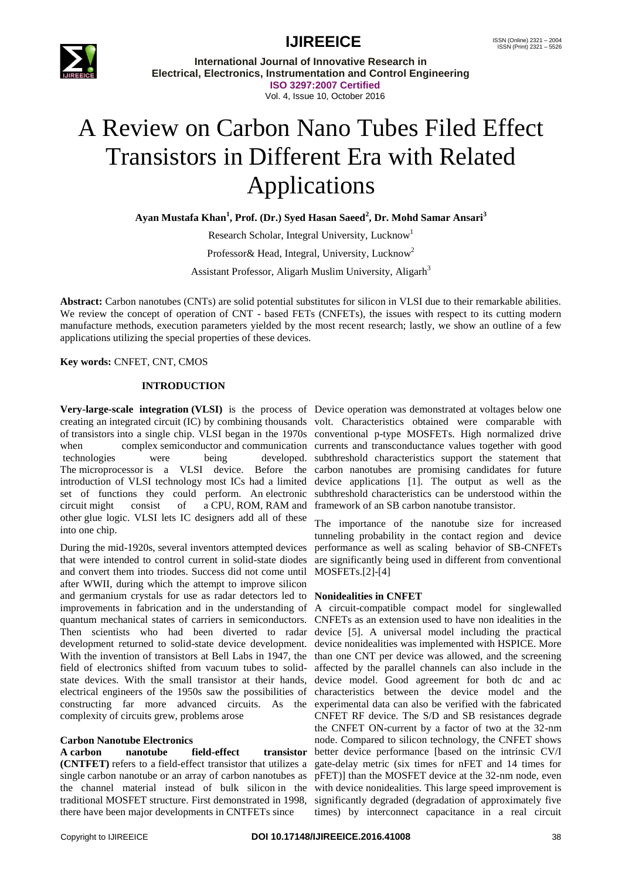

**International Journal of Innovative Research in Electrical, Electronics, Instrumentation and Control Engineering ISO 3297:2007 Certified** Vol. 4, Issue 10, October 2016

# A Review on Carbon Nano Tubes Filed Effect Transistors in Different Era with Related Applications

**Ayan Mustafa Khan<sup>1</sup> , Prof. (Dr.) Syed Hasan Saeed<sup>2</sup> , Dr. Mohd Samar Ansari<sup>3</sup>**

Research Scholar, Integral University, Lucknow<sup>1</sup>

Professor & Head, Integral, University, Lucknow<sup>2</sup>

Assistant Professor, Aligarh Muslim University, Aligarh<sup>3</sup>

**Abstract:** Carbon nanotubes (CNTs) are solid potential substitutes for silicon in VLSI due to their remarkable abilities. We review the concept of operation of CNT - based FETs (CNFETs), the issues with respect to its cutting modern manufacture methods, execution parameters yielded by the most recent research; lastly, we show an outline of a few applications utilizing the special properties of these devices.

**Key words:** CNFET, CNT, CMOS

#### **INTRODUCTION**

**Very-large-scale integration (VLSI)** is the process of Device operation was demonstrated at voltages below one creating an [integrated circuit](https://en.wikipedia.org/wiki/Integrated_circuit) (IC) by combining thousands volt. Characteristics obtained were comparable with of [transistors](https://en.wikipedia.org/wiki/Transistors) into a single chip. VLSI began in the 1970s conventional p-type MOSFETs. High normalized drive when complex [semiconductor](https://en.wikipedia.org/wiki/Semiconductor) and [communication](https://en.wikipedia.org/wiki/Communication) currents and transconductance values together with good The [microprocessor](https://en.wikipedia.org/wiki/Microprocessor) is a VLSI device. Before the carbon nanotubes are promising candidates for future introduction of VLSI technology most ICs had a limited set of functions they could perform. An [electronic](https://en.wikipedia.org/wiki/Electronic_circuit)  [circuit](https://en.wikipedia.org/wiki/Electronic_circuit) might consist of a [CPU,](https://en.wikipedia.org/wiki/Central_processing_unit) [ROM,](https://en.wikipedia.org/wiki/Read-only_memory) [RAM](https://en.wikipedia.org/wiki/Random_Access_Memory) and other [glue logic.](https://en.wikipedia.org/wiki/Glue_logic) VLSI lets IC designers add all of these into one chip.

During the mid-1920s, several inventors attempted devices that were intended to control current in solid-state diodes and convert them into triodes. Success did not come until after WWII, during which the attempt to improve silicon and germanium crystals for use as radar detectors led to **Nonidealities in CNFET** improvements in fabrication and in the understanding of A circuit-compatible compact model for singlewalled quantum mechanical states of carriers in semiconductors. CNFETs as an extension used to have non idealities in the Then scientists who had been diverted to radar device [5]. A universal model including the practical development returned to solid-state device development. device nonidealities was implemented with HSPICE. More With the invention of transistors at Bell Labs in 1947, the than one CNT per device was allowed, and the screening field of electronics shifted from vacuum tubes to solid-affected by the parallel channels can also include in the state devices. With the small transistor at their hands, device model. Good agreement for both dc and ac electrical engineers of the 1950s saw the possibilities of characteristics between the device model and the constructing far more advanced circuits. As the experimental data can also be verified with the fabricated complexity of circuits grew, problems arose

#### **Carbon Nanotube Electronics**

**A carbon nanotube field-effect transistor (CNTFET)** refers to a [field-effect transistor](https://en.wikipedia.org/wiki/Field-effect_transistor) that utilizes a gate-delay metric (six times for nFET and 14 times for single [carbon nanotube](https://en.wikipedia.org/wiki/Carbon_nanotube) or an array of carbon nanotubes as pFET)] than the MOSFET device at the 32-nm node, even the channel material instead of bulk [silicon](https://en.wikipedia.org/wiki/Silicon) in the with device nonidealities. This large speed improvement is traditional [MOSFET](https://en.wikipedia.org/wiki/MOSFET) structure. First demonstrated in 1998, significantly degraded (degradation of approximately five there have been major developments in CNTFETs since

technologies were being developed. subthreshold characteristics support the statement that device applications [1]. The output as well as the subthreshold characteristics can be understood within the framework of an SB carbon nanotube transistor.

> The importance of the nanotube size for increased tunneling probability in the contact region and device performance as well as scaling behavior of SB-CNFETs are significantly being used in different from conventional MOSFETs.[2]-[4]

CNFET RF device. The S/D and SB resistances degrade the CNFET ON-current by a factor of two at the 32-nm node. Compared to silicon technology, the CNFET shows better device performance [based on the intrinsic CV/I times) by interconnect capacitance in a real circuit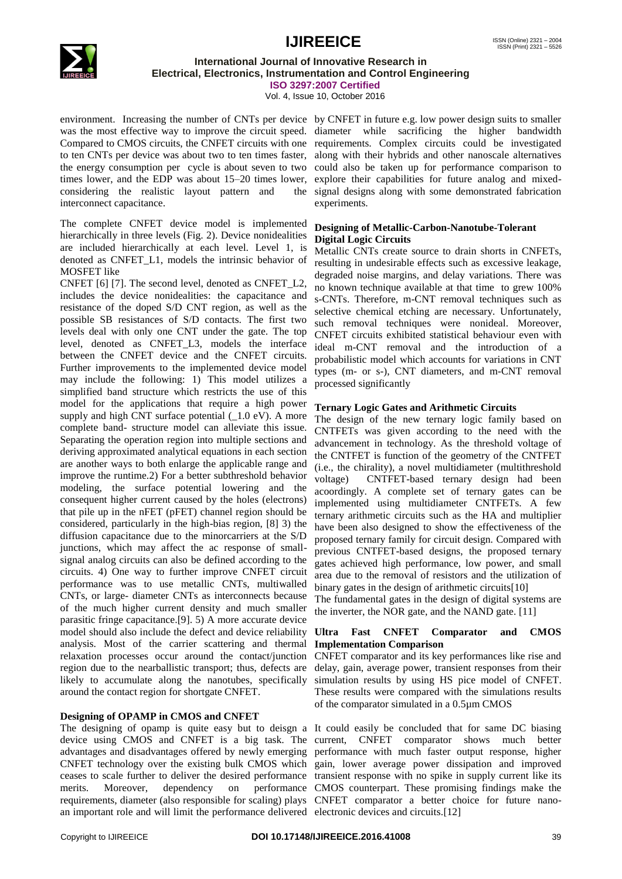

#### **International Journal of Innovative Research in Electrical, Electronics, Instrumentation and Control Engineering ISO 3297:2007 Certified**

Vol. 4, Issue 10, October 2016

environment. Increasing the number of CNTs per device by CNFET in future e.g. low power design suits to smaller was the most effective way to improve the circuit speed. diameter while sacrificing the higher bandwidth Compared to CMOS circuits, the CNFET circuits with one requirements. Complex circuits could be investigated to ten CNTs per device was about two to ten times faster, along with their hybrids and other nanoscale alternatives the energy consumption per cycle is about seven to two could also be taken up for performance comparison to times lower, and the EDP was about 15–20 times lower, explore their capabilities for future analog and mixedconsidering the realistic layout pattern and interconnect capacitance.

The complete CNFET device model is implemented hierarchically in three levels (Fig. 2). Device nonidealities are included hierarchically at each level. Level 1, is denoted as CNFET L1, models the intrinsic behavior of MOSFET like

CNFET [6] [7]. The second level, denoted as CNFET\_L2, includes the device nonidealities: the capacitance and resistance of the doped S/D CNT region, as well as the possible SB resistances of S/D contacts. The first two levels deal with only one CNT under the gate. The top level, denoted as CNFET\_L3, models the interface between the CNFET device and the CNFET circuits. Further improvements to the implemented device model may include the following: 1) This model utilizes a simplified band structure which restricts the use of this model for the applications that require a high power supply and high CNT surface potential  $(1.0 \text{ eV})$ . A more complete band- structure model can alleviate this issue. Separating the operation region into multiple sections and deriving approximated analytical equations in each section are another ways to both enlarge the applicable range and improve the runtime.2) For a better subthreshold behavior modeling, the surface potential lowering and the consequent higher current caused by the holes (electrons) that pile up in the nFET (pFET) channel region should be considered, particularly in the high-bias region, [8] 3) the diffusion capacitance due to the minorcarriers at the S/D junctions, which may affect the ac response of smallsignal analog circuits can also be defined according to the circuits. 4) One way to further improve CNFET circuit performance was to use metallic CNTs, multiwalled CNTs, or large- diameter CNTs as interconnects because of the much higher current density and much smaller parasitic fringe capacitance.[9]. 5) A more accurate device model should also include the defect and device reliability analysis. Most of the carrier scattering and thermal relaxation processes occur around the contact/junction region due to the nearballistic transport; thus, defects are likely to accumulate along the nanotubes, specifically around the contact region for shortgate CNFET.

### **Designing of OPAMP in CMOS and CNFET**

device using CMOS and CNFET is a big task. The current, CNFET comparator shows much better advantages and disadvantages offered by newly emerging performance with much faster output response, higher CNFET technology over the existing bulk CMOS which gain, lower average power dissipation and improved ceases to scale further to deliver the desired performance transient response with no spike in supply current like its merits. Moreover, dependency on performance CMOS counterpart. These promising findings make the requirements, diameter (also responsible for scaling) plays CNFET comparator a better choice for future nanoan important role and will limit the performance delivered electronic devices and circuits.[12]

the signal designs along with some demonstrated fabrication experiments.

#### **Designing of Metallic-Carbon-Nanotube-Tolerant Digital Logic Circuits**

Metallic CNTs create source to drain shorts in CNFETs, resulting in undesirable effects such as excessive leakage, degraded noise margins, and delay variations. There was no known technique available at that time to grew 100% s-CNTs. Therefore, m-CNT removal techniques such as selective chemical etching are necessary. Unfortunately, such removal techniques were nonideal. Moreover, CNFET circuits exhibited statistical behaviour even with ideal m-CNT removal and the introduction of a probabilistic model which accounts for variations in CNT types (m- or s-), CNT diameters, and m-CNT removal processed significantly

#### **Ternary Logic Gates and Arithmetic Circuits**

The design of the new ternary logic family based on CNTFETs was given according to the need with the advancement in technology. As the threshold voltage of the CNTFET is function of the geometry of the CNTFET (i.e., the chirality), a novel multidiameter (multithreshold voltage) CNTFET-based ternary design had been acoordingly. A complete set of ternary gates can be implemented using multidiameter CNTFETs. A few ternary arithmetic circuits such as the HA and multiplier have been also designed to show the effectiveness of the proposed ternary family for circuit design. Compared with previous CNTFET-based designs, the proposed ternary gates achieved high performance, low power, and small area due to the removal of resistors and the utilization of binary gates in the design of arithmetic circuits[10]

The fundamental gates in the design of digital systems are the inverter, the NOR gate, and the NAND gate. [11]

#### **Ultra Fast CNFET Comparator and CMOS Implementation Comparison**

CNFET comparator and its key performances like rise and delay, gain, average power, transient responses from their simulation results by using HS pice model of CNFET. These results were compared with the simulations results of the comparator simulated in a 0.5µm CMOS

The designing of opamp is quite easy but to deisgn a It could easily be concluded that for same DC biasing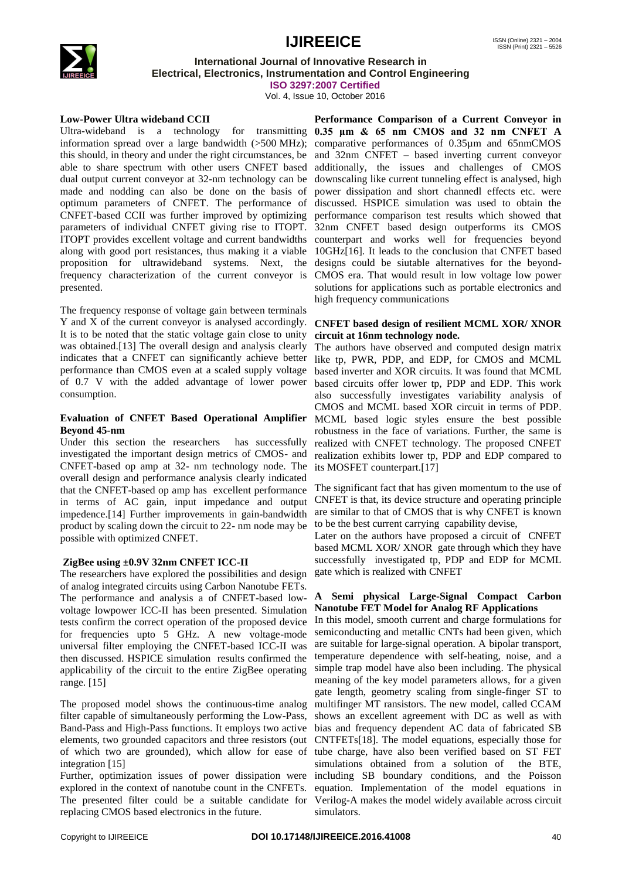

### **International Journal of Innovative Research in Electrical, Electronics, Instrumentation and Control Engineering**

**ISO 3297:2007 Certified**

Vol. 4, Issue 10, October 2016

#### **Low-Power Ultra wideband CCII**

Ultra-wideband is a technology for transmitting **0.35 μm & 65 nm CMOS and 32 nm CNFET A** information spread over a large bandwidth (>500 [MHz\)](https://en.wikipedia.org/wiki/Hertz); comparative performances of 0.35µm and 65nmCMOS this should, in theory and under the right circumstances, be and 32nm CNFET – based inverting current conveyor able to share spectrum with other users CNFET based dual output current conveyor at 32-nm technology can be downscaling like current tunneling effect is analysed, high made and nodding can also be done on the basis of optimum parameters of CNFET. The performance of CNFET-based CCII was further improved by optimizing parameters of individual CNFET giving rise to ITOPT. ITOPT provides excellent voltage and current bandwidths along with good port resistances, thus making it a viable proposition for ultrawideband systems. Next, the frequency characterization of the current conveyor is presented.

The frequency response of voltage gain between terminals Y and X of the current conveyor is analysed accordingly. It is to be noted that the static voltage gain close to unity was obtained.[13] The overall design and analysis clearly indicates that a CNFET can significantly achieve better performance than CMOS even at a scaled supply voltage of 0.7 V with the added advantage of lower power consumption.

#### **Evaluation of CNFET Based Operational Amplifier Beyond 45-nm**

Under this section the researchers has successfully investigated the important design metrics of CMOS- and CNFET-based op amp at 32- nm technology node. The overall design and performance analysis clearly indicated that the CNFET-based op amp has excellent performance in terms of AC gain, input impedance and output impedence.[14] Further improvements in gain-bandwidth product by scaling down the circuit to 22- nm node may be possible with optimized CNFET.

#### **ZigBee using ±0.9V 32nm CNFET ICC-II**

The researchers have explored the possibilities and design of analog integrated circuits using Carbon Nanotube FETs. The performance and analysis a of CNFET-based lowvoltage lowpower ICC-II has been presented. Simulation tests confirm the correct operation of the proposed device for frequencies upto 5 GHz. A new voltage-mode universal filter employing the CNFET-based ICC-II was then discussed. HSPICE simulation results confirmed the applicability of the circuit to the entire ZigBee operating range. [15]

The proposed model shows the continuous-time analog filter capable of simultaneously performing the Low-Pass, Band-Pass and High-Pass functions. It employs two active elements, two grounded capacitors and three resistors (out of which two are grounded), which allow for ease of integration [15]

Further, optimization issues of power dissipation were explored in the context of nanotube count in the CNFETs. The presented filter could be a suitable candidate for replacing CMOS based electronics in the future.

**Performance Comparison of a Current Conveyor in**  additionally, the issues and challenges of CMOS power dissipation and short channedl effects etc. were discussed. HSPICE simulation was used to obtain the performance comparison test results which showed that 32nm CNFET based design outperforms its CMOS counterpart and works well for frequencies beyond 10GHz[16]. It leads to the conclusion that CNFET based designs could be siutable alternatives for the beyond-CMOS era. That would result in low voltage low power solutions for applications such as portable electronics and high frequency communications

#### **CNFET based design of resilient MCML XOR/ XNOR circuit at 16nm technology node.**

The authors have observed and computed design matrix like tp, PWR, PDP, and EDP, for CMOS and MCML based inverter and XOR circuits. It was found that MCML based circuits offer lower tp, PDP and EDP. This work also successfully investigates variability analysis of CMOS and MCML based XOR circuit in terms of PDP. MCML based logic styles ensure the best possible robustness in the face of variations. Further, the same is realized with CNFET technology. The proposed CNFET realization exhibits lower tp, PDP and EDP compared to its MOSFET counterpart.[17]

The significant fact that has given momentum to the use of CNFET is that, its device structure and operating principle are similar to that of CMOS that is why CNFET is known to be the best current carrying capability devise,

Later on the authors have proposed a circuit of CNFET based MCML XOR/ XNOR gate through which they have successfully investigated tp, PDP and EDP for MCML gate which is realized with CNFET

#### **A Semi physical Large-Signal Compact Carbon Nanotube FET Model for Analog RF Applications**

In this model, smooth current and charge formulations for semiconducting and metallic CNTs had been given, which are suitable for large-signal operation. A bipolar transport, temperature dependence with self-heating, noise, and a simple trap model have also been including. The physical meaning of the key model parameters allows, for a given gate length, geometry scaling from single-finger ST to multifinger MT ransistors. The new model, called CCAM shows an excellent agreement with DC as well as with bias and frequency dependent AC data of fabricated SB CNTFETs[18]. The model equations, especially those for tube charge, have also been verified based on ST FET simulations obtained from a solution of the BTE, including SB boundary conditions, and the Poisson equation. Implementation of the model equations in Verilog-A makes the model widely available across circuit simulators.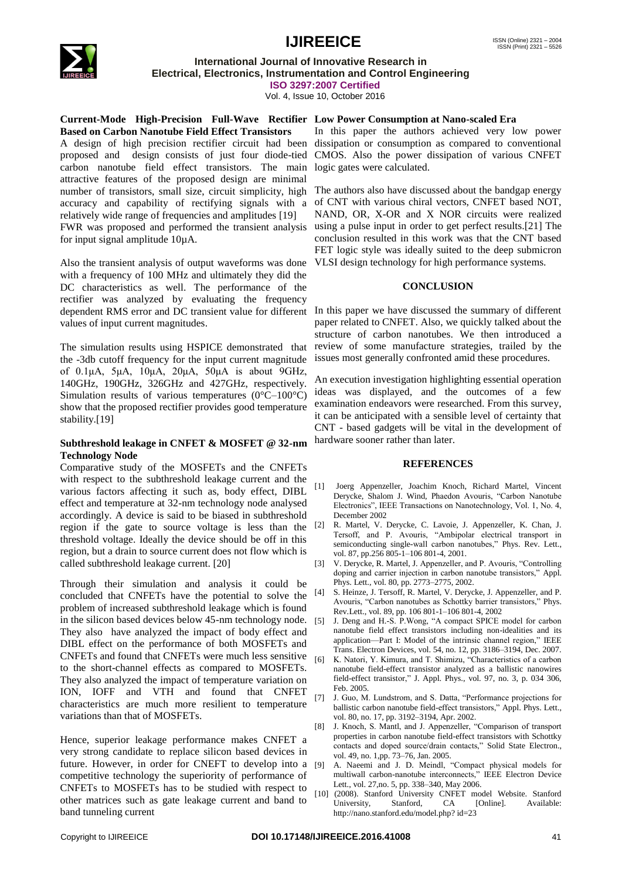

**International Journal of Innovative Research in Electrical, Electronics, Instrumentation and Control Engineering**

**ISO 3297:2007 Certified**

Vol. 4, Issue 10, October 2016

#### **Current-Mode High-Precision Full-Wave Rectifier Low Power Consumption at Nano-scaled Era Based on Carbon Nanotube Field Effect Transistors**

A design of high precision rectifier circuit had been dissipation or consumption as compared to conventional proposed and design consists of just four diode-tied CMOS. Also the power dissipation of various CNFET carbon nanotube field effect transistors. The main logic gates were calculated. attractive features of the proposed design are minimal number of transistors, small size, circuit simplicity, high The authors also have discussed about the bandgap energy accuracy and capability of rectifying signals with a relatively wide range of frequencies and amplitudes [19] FWR was proposed and performed the transient analysis using a pulse input in order to get perfect results.[21] The for input signal amplitude 10µA.

Also the transient analysis of output waveforms was done with a frequency of 100 MHz and ultimately they did the DC characteristics as well. The performance of the rectifier was analyzed by evaluating the frequency dependent RMS error and DC transient value for different In this paper we have discussed the summary of different values of input current magnitudes.

The simulation results using HSPICE demonstrated that the -3db cutoff frequency for the input current magnitude of 0.1μA, 5μA, 10μA, 20μA, 50μA is about 9GHz, 140GHz, 190GHz, 326GHz and 427GHz, respectively. Simulation results of various temperatures  $(0^{\circ}C - 100^{\circ}C)$ show that the proposed rectifier provides good temperature stability.[19]

#### **Subthreshold leakage in CNFET & MOSFET @ 32-nm Technology Node**

Comparative study of the MOSFETs and the CNFETs with respect to the subthreshold leakage current and the various factors affecting it such as, body effect, DIBL effect and temperature at 32-nm technology node analysed accordingly. A device is said to be biased in subthreshold region if the gate to source voltage is less than the threshold voltage. Ideally the device should be off in this region, but a drain to source current does not flow which is called subthreshold leakage current. [20]

Through their simulation and analysis it could be concluded that CNFETs have the potential to solve the problem of increased subthreshold leakage which is found in the silicon based devices below 45-nm technology node. They also have analyzed the impact of body effect and DIBL effect on the performance of both MOSFETs and CNFETs and found that CNFETs were much less sensitive to the short-channel effects as compared to MOSFETs. They also analyzed the impact of temperature variation on ION, IOFF and VTH and found that CNFET characteristics are much more resilient to temperature variations than that of MOSFETs.

Hence, superior leakage performance makes CNFET a very strong candidate to replace silicon based devices in future. However, in order for CNEFT to develop into a competitive technology the superiority of performance of CNFETs to MOSFETs has to be studied with respect to other matrices such as gate leakage current and band to band tunneling current

In this paper the authors achieved very low power

of CNT with various chiral vectors, CNFET based NOT, NAND, OR, X-OR and X NOR circuits were realized conclusion resulted in this work was that the CNT based FET logic style was ideally suited to the deep submicron VLSI design technology for high performance systems.

#### **CONCLUSION**

paper related to CNFET. Also, we quickly talked about the structure of carbon nanotubes. We then introduced a review of some manufacture strategies, trailed by the issues most generally confronted amid these procedures.

An execution investigation highlighting essential operation ideas was displayed, and the outcomes of a few examination endeavors were researched. From this survey, it can be anticipated with a sensible level of certainty that CNT - based gadgets will be vital in the development of hardware sooner rather than later.

#### **REFERENCES**

- [1] Joerg Appenzeller, Joachim Knoch, Richard Martel, Vincent Derycke, Shalom J. Wind, Phaedon Avouris, "Carbon Nanotube Electronics‖, IEEE Transactions on Nanotechnology, Vol. 1, No. 4, December 2002
- [2] R. Martel, V. Derycke, C. Lavoie, J. Appenzeller, K. Chan, J. Tersoff, and P. Avouris, "Ambipolar electrical transport in semiconducting single-wall carbon nanotubes," Phys. Rev. Lett., vol. 87, pp.256 805-1–106 801-4, 2001.
- [3] V. Derycke, R. Martel, J. Appenzeller, and P. Avouris, "Controlling doping and carrier injection in carbon nanotube transistors," Appl. Phys. Lett., vol. 80, pp. 2773–2775, 2002.
- [4] S. Heinze, J. Tersoff, R. Martel, V. Derycke, J. Appenzeller, and P. Avouris, "Carbon nanotubes as Schottky barrier transistors," Phys. Rev.Lett., vol. 89, pp. 106 801-1–106 801-4, 2002
- [5] J. Deng and H.-S. P. Wong, "A compact SPICE model for carbon nanotube field effect transistors including non-idealities and its application—Part I: Model of the intrinsic channel region," IEEE Trans. Electron Devices, vol. 54, no. 12, pp. 3186–3194, Dec. 2007.
- K. Natori, Y. Kimura, and T. Shimizu, "Characteristics of a carbon nanotube field-effect transistor analyzed as a ballistic nanowires field-effect transistor," J. Appl. Phys., vol. 97, no. 3, p. 034 306, Feb. 2005.
- [7] J. Guo, M. Lundstrom, and S. Datta, "Performance projections for ballistic carbon nanotube field-effect transistors," Appl. Phys. Lett., vol. 80, no. 17, pp. 3192–3194, Apr. 2002.
- [8] J. Knoch, S. Mantl, and J. Appenzeller, "Comparison of transport properties in carbon nanotube field-effect transistors with Schottky contacts and doped source/drain contacts," Solid State Electron., vol. 49, no. 1,pp. 73–76, Jan. 2005.
- A. Naeemi and J. D. Meindl, "Compact physical models for multiwall carbon-nanotube interconnects," IEEE Electron Device Lett., vol. 27,no. 5, pp. 338–340, May 2006.
- [10] (2008). Stanford University CNFET model Website. Stanford University, Stanford, CA [Online]. Available: [http://nano.stanford.edu/model.php?](http://nano.stanford.edu/model.php) id=23